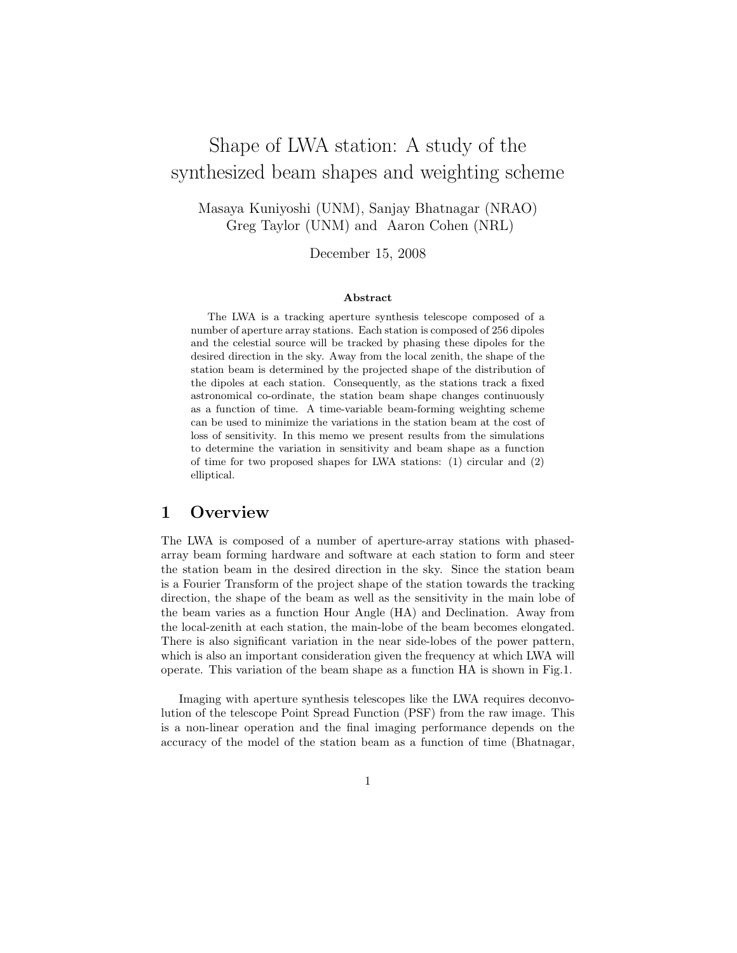# Shape of LWA station: A study of the synthesized beam shapes and weighting scheme

Masaya Kuniyoshi (UNM), Sanjay Bhatnagar (NRAO) Greg Taylor (UNM) and Aaron Cohen (NRL)

December 15, 2008

#### Abstract

The LWA is a tracking aperture synthesis telescope composed of a number of aperture array stations. Each station is composed of 256 dipoles and the celestial source will be tracked by phasing these dipoles for the desired direction in the sky. Away from the local zenith, the shape of the station beam is determined by the projected shape of the distribution of the dipoles at each station. Consequently, as the stations track a fixed astronomical co-ordinate, the station beam shape changes continuously as a function of time. A time-variable beam-forming weighting scheme can be used to minimize the variations in the station beam at the cost of loss of sensitivity. In this memo we present results from the simulations to determine the variation in sensitivity and beam shape as a function of time for two proposed shapes for LWA stations: (1) circular and (2) elliptical.

# 1 Overview

The LWA is composed of a number of aperture-array stations with phasedarray beam forming hardware and software at each station to form and steer the station beam in the desired direction in the sky. Since the station beam is a Fourier Transform of the project shape of the station towards the tracking direction, the shape of the beam as well as the sensitivity in the main lobe of the beam varies as a function Hour Angle (HA) and Declination. Away from the local-zenith at each station, the main-lobe of the beam becomes elongated. There is also significant variation in the near side-lobes of the power pattern, which is also an important consideration given the frequency at which LWA will operate. This variation of the beam shape as a function HA is shown in Fig.1.

Imaging with aperture synthesis telescopes like the LWA requires deconvolution of the telescope Point Spread Function (PSF) from the raw image. This is a non-linear operation and the final imaging performance depends on the accuracy of the model of the station beam as a function of time (Bhatnagar,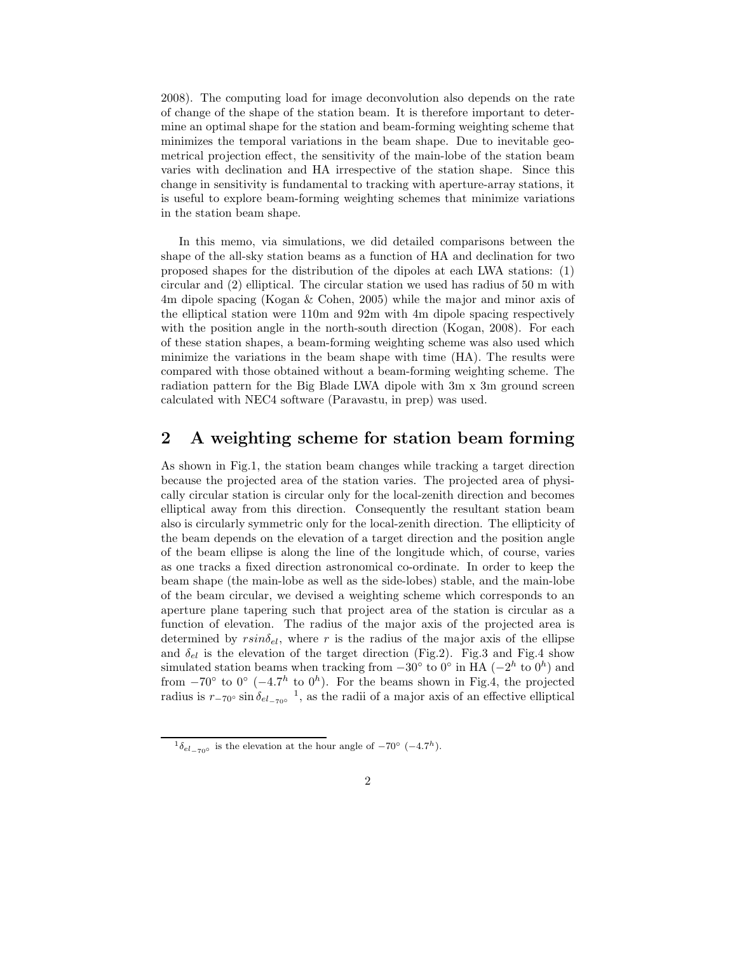2008). The computing load for image deconvolution also depends on the rate of change of the shape of the station beam. It is therefore important to determine an optimal shape for the station and beam-forming weighting scheme that minimizes the temporal variations in the beam shape. Due to inevitable geometrical projection effect, the sensitivity of the main-lobe of the station beam varies with declination and HA irrespective of the station shape. Since this change in sensitivity is fundamental to tracking with aperture-array stations, it is useful to explore beam-forming weighting schemes that minimize variations in the station beam shape.

In this memo, via simulations, we did detailed comparisons between the shape of the all-sky station beams as a function of HA and declination for two proposed shapes for the distribution of the dipoles at each LWA stations: (1) circular and (2) elliptical. The circular station we used has radius of 50 m with 4m dipole spacing (Kogan & Cohen, 2005) while the major and minor axis of the elliptical station were 110m and 92m with 4m dipole spacing respectively with the position angle in the north-south direction (Kogan, 2008). For each of these station shapes, a beam-forming weighting scheme was also used which minimize the variations in the beam shape with time (HA). The results were compared with those obtained without a beam-forming weighting scheme. The radiation pattern for the Big Blade LWA dipole with 3m x 3m ground screen calculated with NEC4 software (Paravastu, in prep) was used.

# 2 A weighting scheme for station beam forming

As shown in Fig.1, the station beam changes while tracking a target direction because the projected area of the station varies. The projected area of physically circular station is circular only for the local-zenith direction and becomes elliptical away from this direction. Consequently the resultant station beam also is circularly symmetric only for the local-zenith direction. The ellipticity of the beam depends on the elevation of a target direction and the position angle of the beam ellipse is along the line of the longitude which, of course, varies as one tracks a fixed direction astronomical co-ordinate. In order to keep the beam shape (the main-lobe as well as the side-lobes) stable, and the main-lobe of the beam circular, we devised a weighting scheme which corresponds to an aperture plane tapering such that project area of the station is circular as a function of elevation. The radius of the major axis of the projected area is determined by  $rsin\delta_{el}$ , where r is the radius of the major axis of the ellipse and  $\delta_{el}$  is the elevation of the target direction (Fig.2). Fig.3 and Fig.4 show simulated station beams when tracking from  $-30^{\circ}$  to  $0^{\circ}$  in HA ( $-2^h$  to  $0^h$ ) and from  $-70^{\circ}$  to  $0^{\circ}$  ( $-4.7^h$  to  $0^h$ ). For the beams shown in Fig.4, the projected radius is  $r_{-70}$ ° sin $\delta_{el_{-70}$ °<sup>1</sup>, as the radii of a major axis of an effective elliptical

<sup>&</sup>lt;sup>1</sup> $\delta_{el_{-70^{\circ}}}$  is the elevation at the hour angle of  $-70^{\circ}$  (-4.7<sup>h</sup>).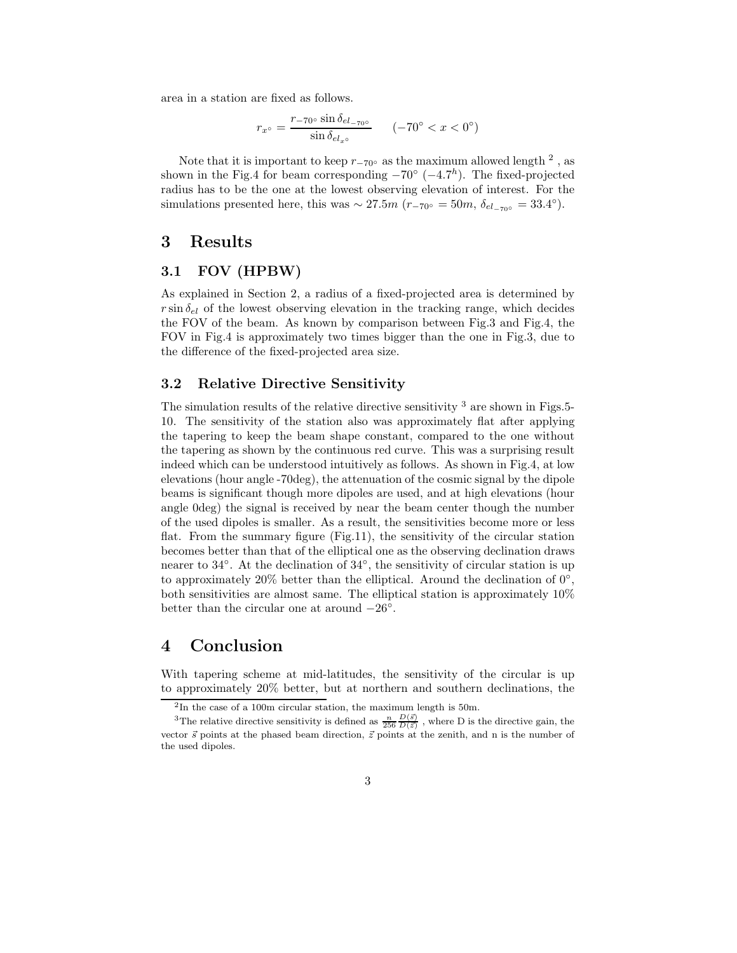area in a station are fixed as follows.

$$
r_{x^{\circ}} = \frac{r_{-70^{\circ}} \sin \delta_{el_{-70^{\circ}}} }{\sin \delta_{el_{x^{\circ}}} } \qquad (-70^{\circ} < x < 0^{\circ})
$$

Note that it is important to keep  $r_{-70}$ ° as the maximum allowed length <sup>2</sup>, as shown in the Fig.4 for beam corresponding  $-70^{\circ}$  ( $-4.7^h$ ). The fixed-projected radius has to be the one at the lowest observing elevation of interest. For the simulations presented here, this was  $\sim 27.5m$  ( $r_{-70}$ ° = 50m,  $\delta_{el_{-70}$ ° = 33.4°).

# 3 Results

#### 3.1 FOV (HPBW)

As explained in Section 2, a radius of a fixed-projected area is determined by  $r \sin \delta_{el}$  of the lowest observing elevation in the tracking range, which decides the FOV of the beam. As known by comparison between Fig.3 and Fig.4, the FOV in Fig.4 is approximately two times bigger than the one in Fig.3, due to the difference of the fixed-projected area size.

#### 3.2 Relative Directive Sensitivity

The simulation results of the relative directive sensitivity  $3$  are shown in Figs. 5-10. The sensitivity of the station also was approximately flat after applying the tapering to keep the beam shape constant, compared to the one without the tapering as shown by the continuous red curve. This was a surprising result indeed which can be understood intuitively as follows. As shown in Fig.4, at low elevations (hour angle -70deg), the attenuation of the cosmic signal by the dipole beams is significant though more dipoles are used, and at high elevations (hour angle 0deg) the signal is received by near the beam center though the number of the used dipoles is smaller. As a result, the sensitivities become more or less flat. From the summary figure (Fig.11), the sensitivity of the circular station becomes better than that of the elliptical one as the observing declination draws nearer to 34°. At the declination of 34°, the sensitivity of circular station is up to approximately 20% better than the elliptical. Around the declination of  $0^{\circ}$ , both sensitivities are almost same. The elliptical station is approximately 10% better than the circular one at around  $-26^\circ$ .

### 4 Conclusion

With tapering scheme at mid-latitudes, the sensitivity of the circular is up to approximately 20% better, but at northern and southern declinations, the

<sup>&</sup>lt;sup>2</sup>In the case of a 100m circular station, the maximum length is 50m.

<sup>&</sup>lt;sup>3</sup>The relative directive sensitivity is defined as  $\frac{n}{256} \frac{D(\vec{s})}{D(\vec{z})}$ , where D is the directive gain, the vector  $\vec{s}$  points at the phased beam direction,  $\vec{z}$  points at the zenith, and n is the number of the used dipoles.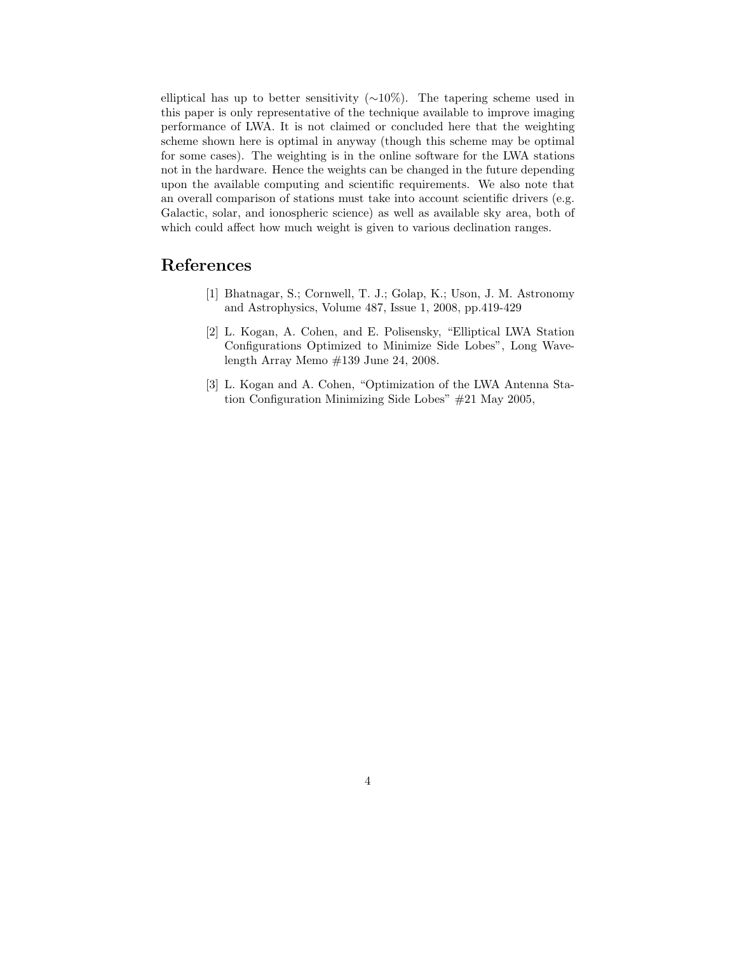elliptical has up to better sensitivity  $(\sim 10\%)$ . The tapering scheme used in this paper is only representative of the technique available to improve imaging performance of LWA. It is not claimed or concluded here that the weighting scheme shown here is optimal in anyway (though this scheme may be optimal for some cases). The weighting is in the online software for the LWA stations not in the hardware. Hence the weights can be changed in the future depending upon the available computing and scientific requirements. We also note that an overall comparison of stations must take into account scientific drivers (e.g. Galactic, solar, and ionospheric science) as well as available sky area, both of which could affect how much weight is given to various declination ranges.

# References

- [1] Bhatnagar, S.; Cornwell, T. J.; Golap, K.; Uson, J. M. Astronomy and Astrophysics, Volume 487, Issue 1, 2008, pp.419-429
- [2] L. Kogan, A. Cohen, and E. Polisensky, "Elliptical LWA Station Configurations Optimized to Minimize Side Lobes", Long Wavelength Array Memo #139 June 24, 2008.
- [3] L. Kogan and A. Cohen, "Optimization of the LWA Antenna Station Configuration Minimizing Side Lobes" #21 May 2005,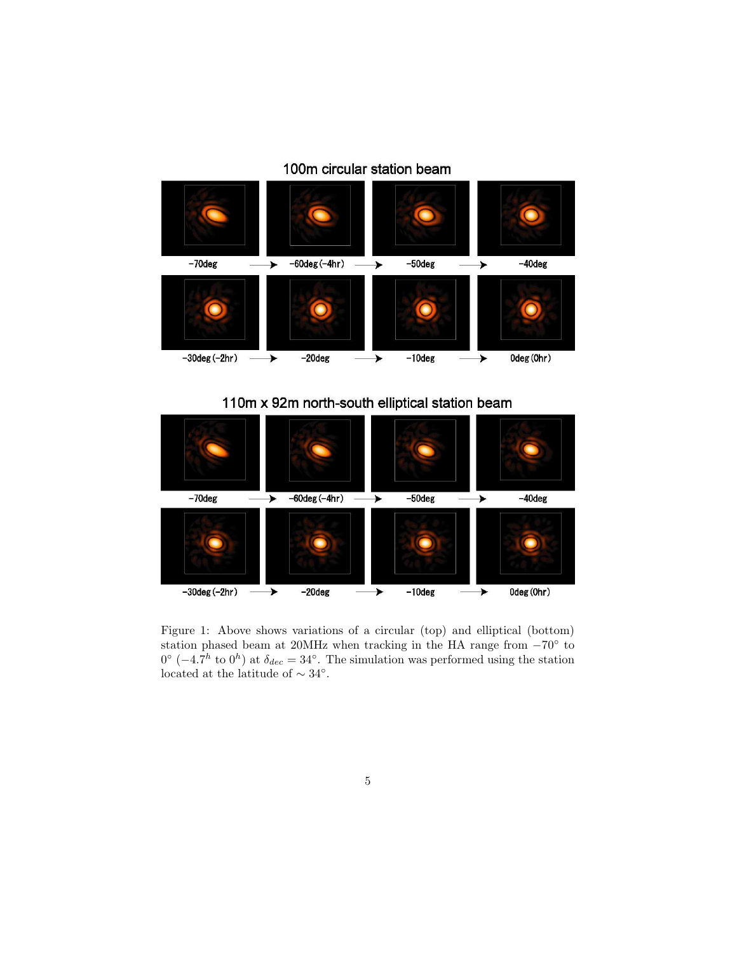# 100m circular station beam



# 110m x 92m north-south elliptical station beam



Figure 1: Above shows variations of a circular (top) and elliptical (bottom) station phased beam at 20MHz when tracking in the HA range from  $-70°$  to  $0^{\circ}$  (-4.7<sup>h</sup> to  $0^{h}$ ) at  $\delta_{dec} = 34^{\circ}$ . The simulation was performed using the station located at the latitude of ∼ 34◦ .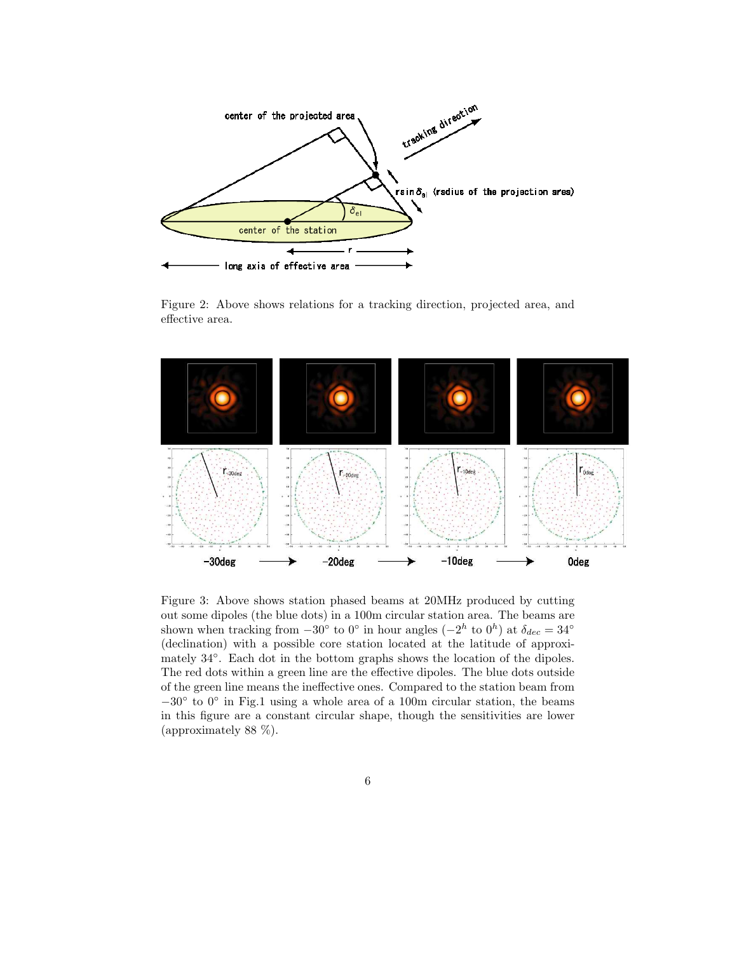

Figure 2: Above shows relations for a tracking direction, projected area, and effective area.



Figure 3: Above shows station phased beams at 20MHz produced by cutting out some dipoles (the blue dots) in a 100m circular station area. The beams are shown when tracking from  $-30^{\circ}$  to  $0^{\circ}$  in hour angles  $(-2^h \text{ to } 0^h)$  at  $\delta_{dec} = 34^{\circ}$ (declination) with a possible core station located at the latitude of approximately  $34°$ . Each dot in the bottom graphs shows the location of the dipoles. The red dots within a green line are the effective dipoles. The blue dots outside of the green line means the ineffective ones. Compared to the station beam from −30◦ to 0◦ in Fig.1 using a whole area of a 100m circular station, the beams in this figure are a constant circular shape, though the sensitivities are lower (approximately 88 %).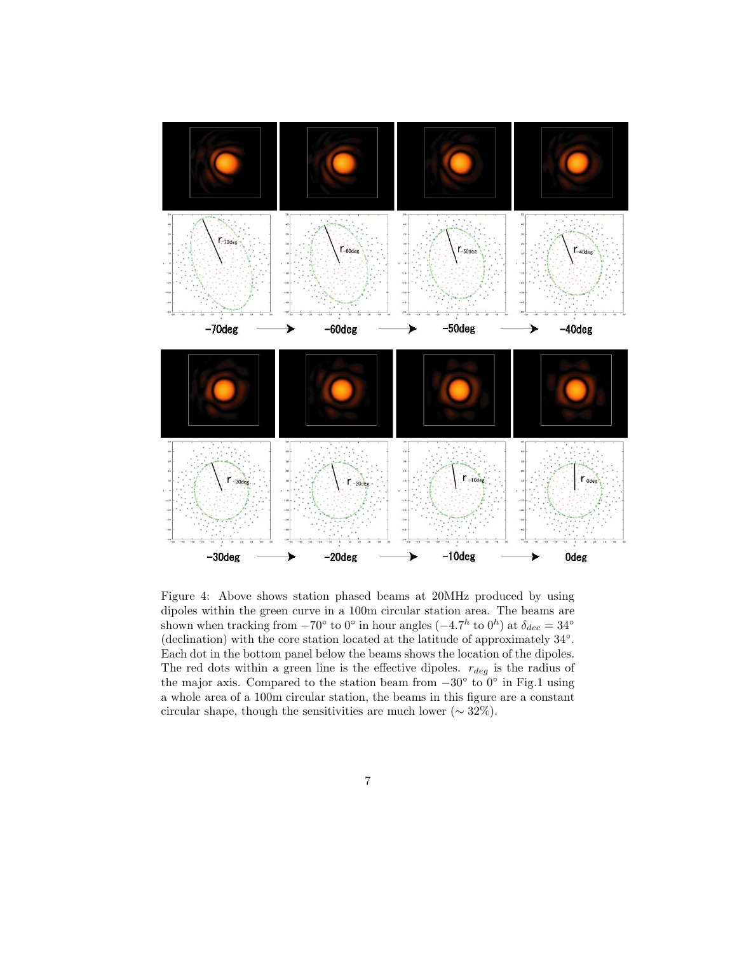

Figure 4: Above shows station phased beams at 20MHz produced by using dipoles within the green curve in a 100m circular station area. The beams are shown when tracking from  $-70^{\circ}$  to  $0^{\circ}$  in hour angles  $(-4.7^h$  to  $0^h)$  at  $\delta_{dec} = 34^{\circ}$ (declination) with the core station located at the latitude of approximately 34◦ . Each dot in the bottom panel below the beams shows the location of the dipoles. The red dots within a green line is the effective dipoles.  $r_{deg}$  is the radius of the major axis. Compared to the station beam from  $-30^{\circ}$  to  $0^{\circ}$  in Fig.1 using a whole area of a 100m circular station, the beams in this figure are a constant circular shape, though the sensitivities are much lower ( $\sim 32\%$ ).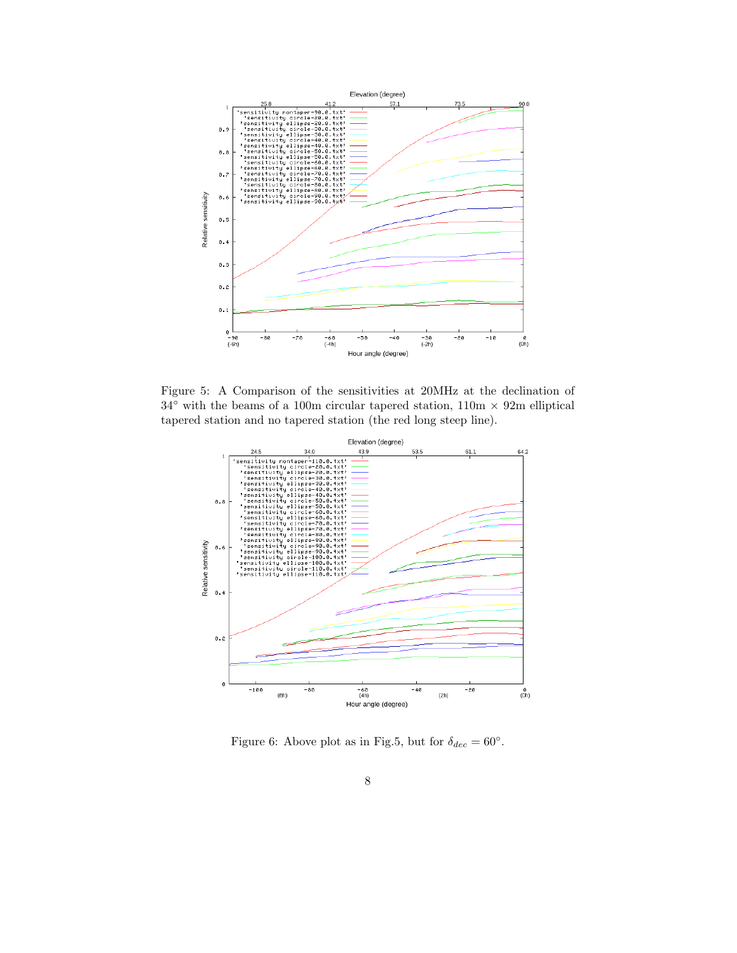

Figure 5: A Comparison of the sensitivities at 20MHz at the declination of  $34°$  with the beams of a 100m circular tapered station,  $110m \times 92m$  elliptical tapered station and no tapered station (the red long steep line).



Figure 6: Above plot as in Fig.5, but for  $\delta_{dec} = 60^{\circ}$ .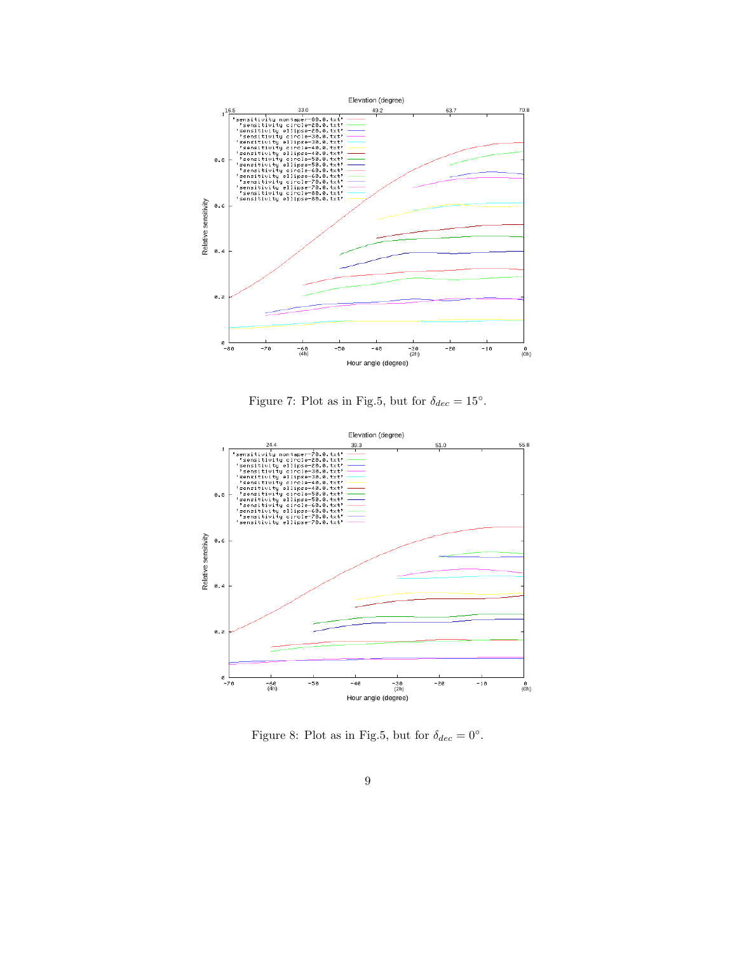

Figure 7: Plot as in Fig.5, but for  $\delta_{dec} = 15^{\circ}$ .



Figure 8: Plot as in Fig.5, but for  $\delta_{dec} = 0^{\circ}$ .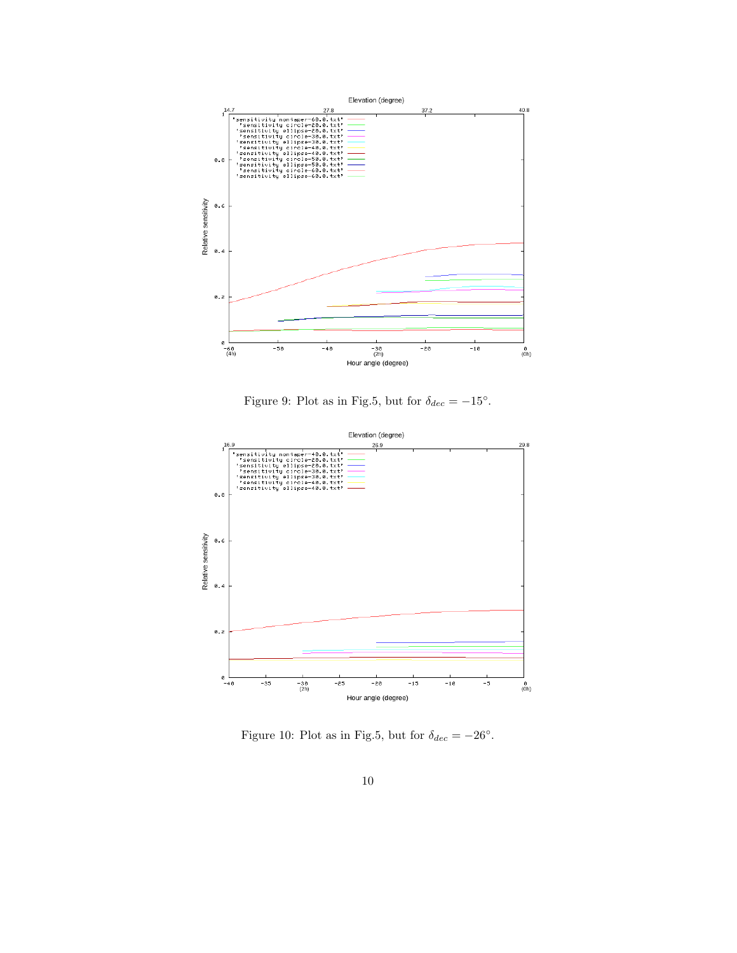

Figure 9: Plot as in Fig.5, but for  $\delta_{dec} = -15^{\circ}$ .



Figure 10: Plot as in Fig.5, but for  $\delta_{dec} = -26^{\circ}$ .